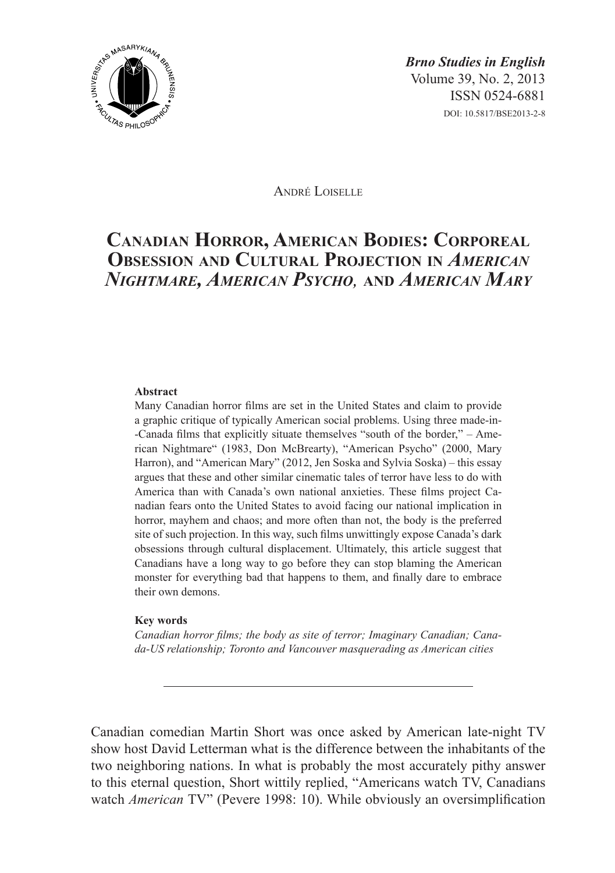

André Loiselle

# **Canadian Horror, American Bodies: Corporeal Obsession and Cultural Projection in** *American Nightmare, American Psycho,* **and** *American Mary*

#### **Abstract**

Many Canadian horror films are set in the United States and claim to provide a graphic critique of typically American social problems. Using three made-in- -Canada films that explicitly situate themselves "south of the border," – American Nightmare" (1983, Don McBrearty), "American Psycho" (2000, Mary Harron), and "American Mary" (2012, Jen Soska and Sylvia Soska) – this essay argues that these and other similar cinematic tales of terror have less to do with America than with Canada's own national anxieties. These films project Canadian fears onto the United States to avoid facing our national implication in horror, mayhem and chaos; and more often than not, the body is the preferred site of such projection. In this way, such films unwittingly expose Canada's dark obsessions through cultural displacement. Ultimately, this article suggest that Canadians have a long way to go before they can stop blaming the American monster for everything bad that happens to them, and finally dare to embrace their own demons.

#### **Key words**

*Canadian horror films; the body as site of terror; Imaginary Canadian; Canada-US relationship; Toronto and Vancouver masquerading as American cities*

Canadian comedian Martin Short was once asked by American late-night TV show host David Letterman what is the difference between the inhabitants of the two neighboring nations. In what is probably the most accurately pithy answer to this eternal question, Short wittily replied, "Americans watch TV, Canadians watch *American* TV" (Pevere 1998: 10). While obviously an oversimplification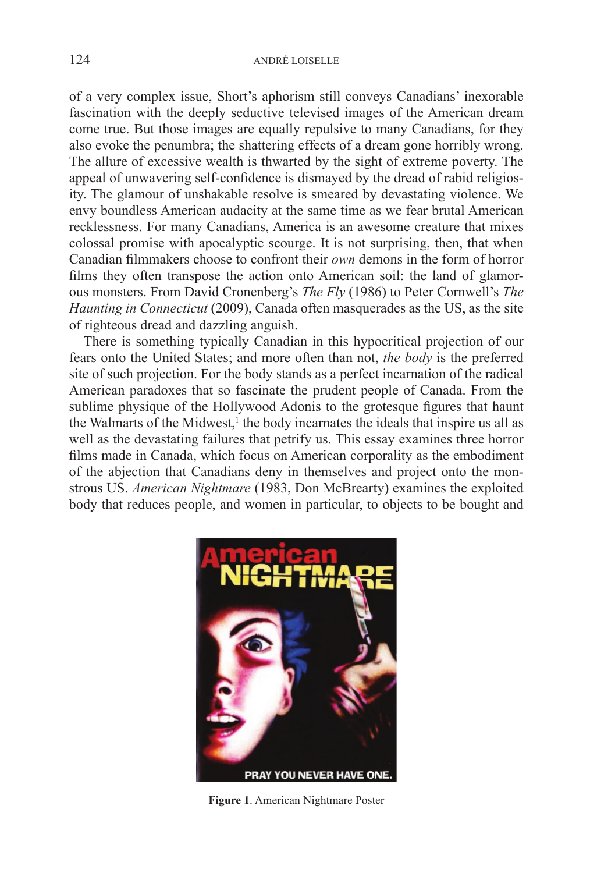of a very complex issue, Short's aphorism still conveys Canadians' inexorable fascination with the deeply seductive televised images of the American dream come true. But those images are equally repulsive to many Canadians, for they also evoke the penumbra; the shattering effects of a dream gone horribly wrong. The allure of excessive wealth is thwarted by the sight of extreme poverty. The appeal of unwavering self-confidence is dismayed by the dread of rabid religiosity. The glamour of unshakable resolve is smeared by devastating violence. We envy boundless American audacity at the same time as we fear brutal American recklessness. For many Canadians, America is an awesome creature that mixes colossal promise with apocalyptic scourge. It is not surprising, then, that when Canadian filmmakers choose to confront their *own* demons in the form of horror films they often transpose the action onto American soil: the land of glamorous monsters. From David Cronenberg's *The Fly* (1986) to Peter Cornwell's *The Haunting in Connecticut* (2009), Canada often masquerades as the US, as the site of righteous dread and dazzling anguish.

There is something typically Canadian in this hypocritical projection of our fears onto the United States; and more often than not, *the body* is the preferred site of such projection. For the body stands as a perfect incarnation of the radical American paradoxes that so fascinate the prudent people of Canada. From the sublime physique of the Hollywood Adonis to the grotesque figures that haunt the Walmarts of the Midwest,<sup>1</sup> the body incarnates the ideals that inspire us all as well as the devastating failures that petrify us. This essay examines three horror films made in Canada, which focus on American corporality as the embodiment of the abjection that Canadians deny in themselves and project onto the monstrous US. *American Nightmare* (1983, Don McBrearty) examines the exploited body that reduces people, and women in particular, to objects to be bought and



**Figure 1**. American Nightmare Poster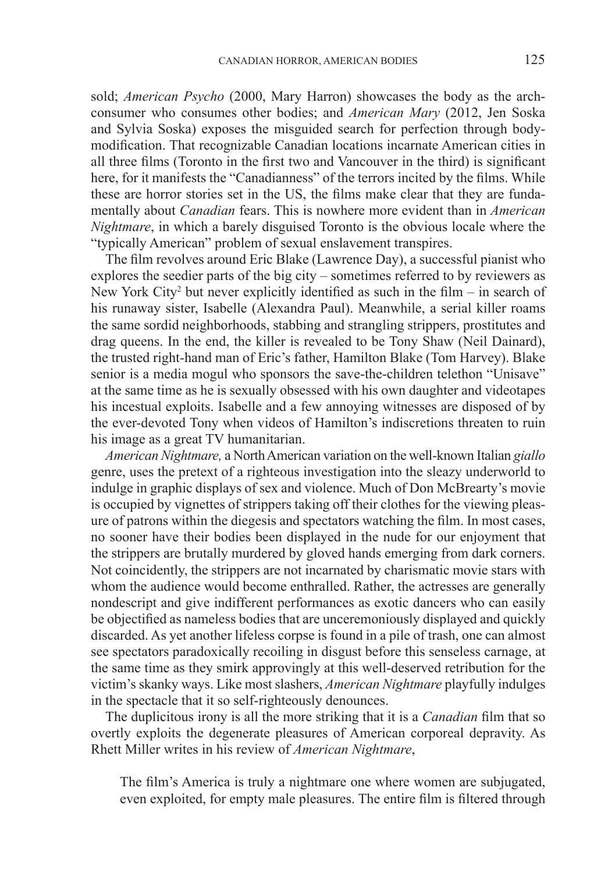sold; *American Psycho* (2000, Mary Harron) showcases the body as the archconsumer who consumes other bodies; and *American Mary* (2012, Jen Soska and Sylvia Soska) exposes the misguided search for perfection through bodymodification. That recognizable Canadian locations incarnate American cities in all three films (Toronto in the first two and Vancouver in the third) is significant here, for it manifests the "Canadianness" of the terrors incited by the films. While these are horror stories set in the US, the films make clear that they are fundamentally about *Canadian* fears. This is nowhere more evident than in *American Nightmare*, in which a barely disguised Toronto is the obvious locale where the "typically American" problem of sexual enslavement transpires.

The film revolves around Eric Blake (Lawrence Day), a successful pianist who explores the seedier parts of the big city – sometimes referred to by reviewers as New York City<sup>2</sup> but never explicitly identified as such in the film  $-$  in search of his runaway sister, Isabelle (Alexandra Paul). Meanwhile, a serial killer roams the same sordid neighborhoods, stabbing and strangling strippers, prostitutes and drag queens. In the end, the killer is revealed to be Tony Shaw (Neil Dainard), the trusted right-hand man of Eric's father, Hamilton Blake (Tom Harvey). Blake senior is a media mogul who sponsors the save-the-children telethon "Unisave" at the same time as he is sexually obsessed with his own daughter and videotapes his incestual exploits. Isabelle and a few annoying witnesses are disposed of by the ever-devoted Tony when videos of Hamilton's indiscretions threaten to ruin his image as a great TV humanitarian.

*American Nightmare,* a North American variation on the well-known Italian *giallo*  genre, uses the pretext of a righteous investigation into the sleazy underworld to indulge in graphic displays of sex and violence. Much of Don McBrearty's movie is occupied by vignettes of strippers taking off their clothes for the viewing pleasure of patrons within the diegesis and spectators watching the film. In most cases, no sooner have their bodies been displayed in the nude for our enjoyment that the strippers are brutally murdered by gloved hands emerging from dark corners. Not coincidently, the strippers are not incarnated by charismatic movie stars with whom the audience would become enthralled. Rather, the actresses are generally nondescript and give indifferent performances as exotic dancers who can easily be objectified as nameless bodies that are unceremoniously displayed and quickly discarded. As yet another lifeless corpse is found in a pile of trash, one can almost see spectators paradoxically recoiling in disgust before this senseless carnage, at the same time as they smirk approvingly at this well-deserved retribution for the victim's skanky ways. Like most slashers, *American Nightmare* playfully indulges in the spectacle that it so self-righteously denounces.

The duplicitous irony is all the more striking that it is a *Canadian* film that so overtly exploits the degenerate pleasures of American corporeal depravity. As Rhett Miller writes in his review of *American Nightmare*,

The film's America is truly a nightmare one where women are subjugated, even exploited, for empty male pleasures. The entire film is filtered through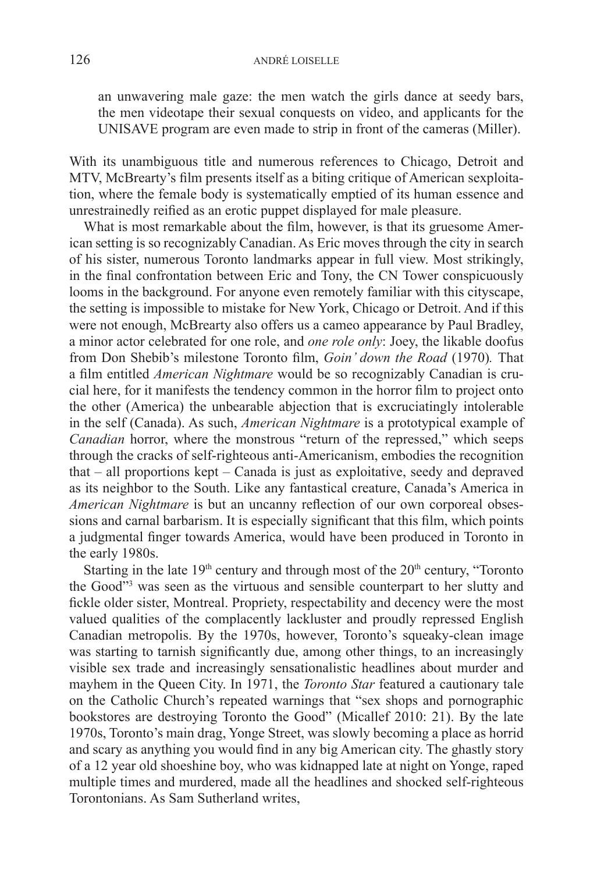## 126 ANDRÉ LOISELLE

an unwavering male gaze: the men watch the girls dance at seedy bars, the men videotape their sexual conquests on video, and applicants for the UNISAVE program are even made to strip in front of the cameras (Miller).

With its unambiguous title and numerous references to Chicago, Detroit and MTV, McBrearty's film presents itself as a biting critique of American sexploitation, where the female body is systematically emptied of its human essence and unrestrainedly reified as an erotic puppet displayed for male pleasure.

What is most remarkable about the film, however, is that its gruesome American setting is so recognizably Canadian. As Eric moves through the city in search of his sister, numerous Toronto landmarks appear in full view. Most strikingly, in the final confrontation between Eric and Tony, the CN Tower conspicuously looms in the background. For anyone even remotely familiar with this cityscape, the setting is impossible to mistake for New York, Chicago or Detroit. And if this were not enough, McBrearty also offers us a cameo appearance by Paul Bradley, a minor actor celebrated for one role, and *one role only*: Joey, the likable doofus from Don Shebib's milestone Toronto film, *Goin' down the Road* (1970)*.* That a film entitled *American Nightmare* would be so recognizably Canadian is crucial here, for it manifests the tendency common in the horror film to project onto the other (America) the unbearable abjection that is excruciatingly intolerable in the self (Canada). As such, *American Nightmare* is a prototypical example of *Canadian* horror, where the monstrous "return of the repressed," which seeps through the cracks of self-righteous anti-Americanism, embodies the recognition that – all proportions kept – Canada is just as exploitative, seedy and depraved as its neighbor to the South. Like any fantastical creature, Canada's America in *American Nightmare* is but an uncanny reflection of our own corporeal obsessions and carnal barbarism. It is especially significant that this film, which points a judgmental finger towards America, would have been produced in Toronto in the early 1980s.

Starting in the late  $19<sup>th</sup>$  century and through most of the  $20<sup>th</sup>$  century, "Toronto the Good"3 was seen as the virtuous and sensible counterpart to her slutty and fickle older sister, Montreal. Propriety, respectability and decency were the most valued qualities of the complacently lackluster and proudly repressed English Canadian metropolis. By the 1970s, however, Toronto's squeaky-clean image was starting to tarnish significantly due, among other things, to an increasingly visible sex trade and increasingly sensationalistic headlines about murder and mayhem in the Queen City. In 1971, the *Toronto Star* featured a cautionary tale on the Catholic Church's repeated warnings that "sex shops and pornographic bookstores are destroying Toronto the Good" (Micallef 2010: 21). By the late 1970s, Toronto's main drag, Yonge Street, was slowly becoming a place as horrid and scary as anything you would find in any big American city. The ghastly story of a 12 year old shoeshine boy, who was kidnapped late at night on Yonge, raped multiple times and murdered, made all the headlines and shocked self-righteous Torontonians. As Sam Sutherland writes,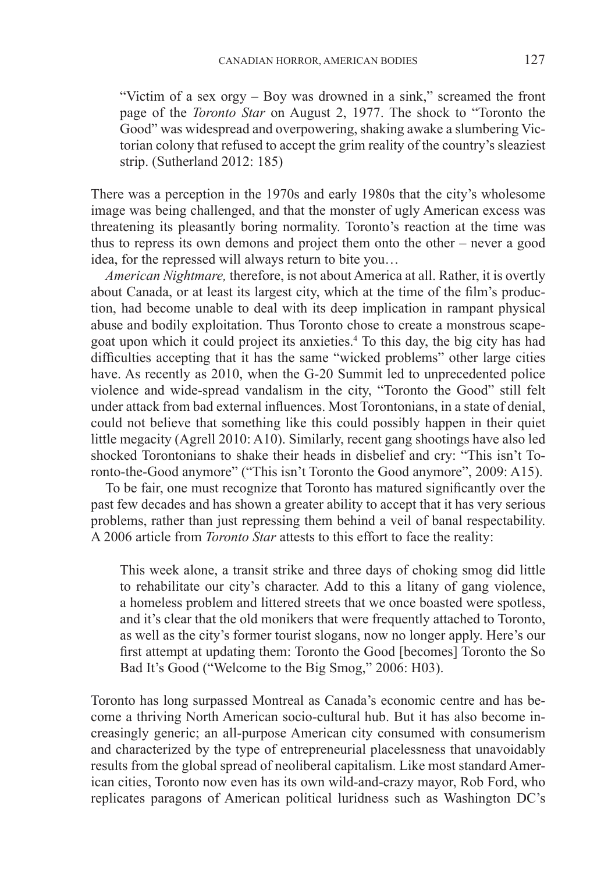"Victim of a sex orgy – Boy was drowned in a sink," screamed the front page of the *Toronto Star* on August 2, 1977. The shock to "Toronto the Good" was widespread and overpowering, shaking awake a slumbering Victorian colony that refused to accept the grim reality of the country's sleaziest strip. (Sutherland 2012: 185)

There was a perception in the 1970s and early 1980s that the city's wholesome image was being challenged, and that the monster of ugly American excess was threatening its pleasantly boring normality. Toronto's reaction at the time was thus to repress its own demons and project them onto the other – never a good idea, for the repressed will always return to bite you…

*American Nightmare,* therefore, is not about America at all. Rather, it is overtly about Canada, or at least its largest city, which at the time of the film's production, had become unable to deal with its deep implication in rampant physical abuse and bodily exploitation. Thus Toronto chose to create a monstrous scapegoat upon which it could project its anxieties.4 To this day, the big city has had difficulties accepting that it has the same "wicked problems" other large cities have. As recently as 2010, when the G-20 Summit led to unprecedented police violence and wide-spread vandalism in the city, "Toronto the Good" still felt under attack from bad external influences. Most Torontonians, in a state of denial, could not believe that something like this could possibly happen in their quiet little megacity (Agrell 2010: A10). Similarly, recent gang shootings have also led shocked Torontonians to shake their heads in disbelief and cry: "This isn't Toronto-the-Good anymore" ("This isn't Toronto the Good anymore", 2009: A15).

To be fair, one must recognize that Toronto has matured significantly over the past few decades and has shown a greater ability to accept that it has very serious problems, rather than just repressing them behind a veil of banal respectability. A 2006 article from *Toronto Star* attests to this effort to face the reality:

This week alone, a transit strike and three days of choking smog did little to rehabilitate our city's character. Add to this a litany of gang violence, a homeless problem and littered streets that we once boasted were spotless, and it's clear that the old monikers that were frequently attached to Toronto, as well as the city's former tourist slogans, now no longer apply. Here's our first attempt at updating them: Toronto the Good [becomes] Toronto the So Bad It's Good ("Welcome to the Big Smog," 2006: H03).

Toronto has long surpassed Montreal as Canada's economic centre and has become a thriving North American socio-cultural hub. But it has also become increasingly generic; an all-purpose American city consumed with consumerism and characterized by the type of entrepreneurial placelessness that unavoidably results from the global spread of neoliberal capitalism. Like most standard American cities, Toronto now even has its own wild-and-crazy mayor, Rob Ford, who replicates paragons of American political luridness such as Washington DC's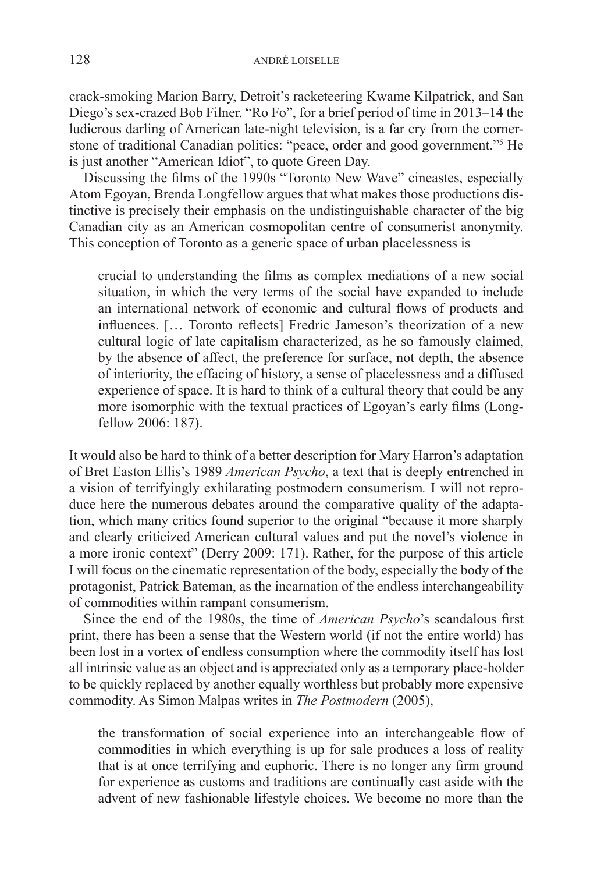crack-smoking Marion Barry, Detroit's racketeering Kwame Kilpatrick, and San Diego's sex-crazed Bob Filner. "Ro Fo", for a brief period of time in 2013–14 the ludicrous darling of American late-night television, is a far cry from the cornerstone of traditional Canadian politics: "peace, order and good government."5 He is just another "American Idiot", to quote Green Day.

Discussing the films of the 1990s "Toronto New Wave" cineastes, especially Atom Egoyan, Brenda Longfellow argues that what makes those productions distinctive is precisely their emphasis on the undistinguishable character of the big Canadian city as an American cosmopolitan centre of consumerist anonymity. This conception of Toronto as a generic space of urban placelessness is

crucial to understanding the films as complex mediations of a new social situation, in which the very terms of the social have expanded to include an international network of economic and cultural flows of products and influences. [… Toronto reflects] Fredric Jameson's theorization of a new cultural logic of late capitalism characterized, as he so famously claimed, by the absence of affect, the preference for surface, not depth, the absence of interiority, the effacing of history, a sense of placelessness and a diffused experience of space. It is hard to think of a cultural theory that could be any more isomorphic with the textual practices of Egoyan's early films (Longfellow 2006: 187).

It would also be hard to think of a better description for Mary Harron's adaptation of Bret Easton Ellis's 1989 *American Psycho*, a text that is deeply entrenched in a vision of terrifyingly exhilarating postmodern consumerism*.* I will not reproduce here the numerous debates around the comparative quality of the adaptation, which many critics found superior to the original "because it more sharply and clearly criticized American cultural values and put the novel's violence in a more ironic context" (Derry 2009: 171). Rather, for the purpose of this article I will focus on the cinematic representation of the body, especially the body of the protagonist, Patrick Bateman, as the incarnation of the endless interchangeability of commodities within rampant consumerism.

Since the end of the 1980s, the time of *American Psycho*'s scandalous first print, there has been a sense that the Western world (if not the entire world) has been lost in a vortex of endless consumption where the commodity itself has lost all intrinsic value as an object and is appreciated only as a temporary place-holder to be quickly replaced by another equally worthless but probably more expensive commodity. As Simon Malpas writes in *The Postmodern* (2005),

the transformation of social experience into an interchangeable flow of commodities in which everything is up for sale produces a loss of reality that is at once terrifying and euphoric. There is no longer any firm ground for experience as customs and traditions are continually cast aside with the advent of new fashionable lifestyle choices. We become no more than the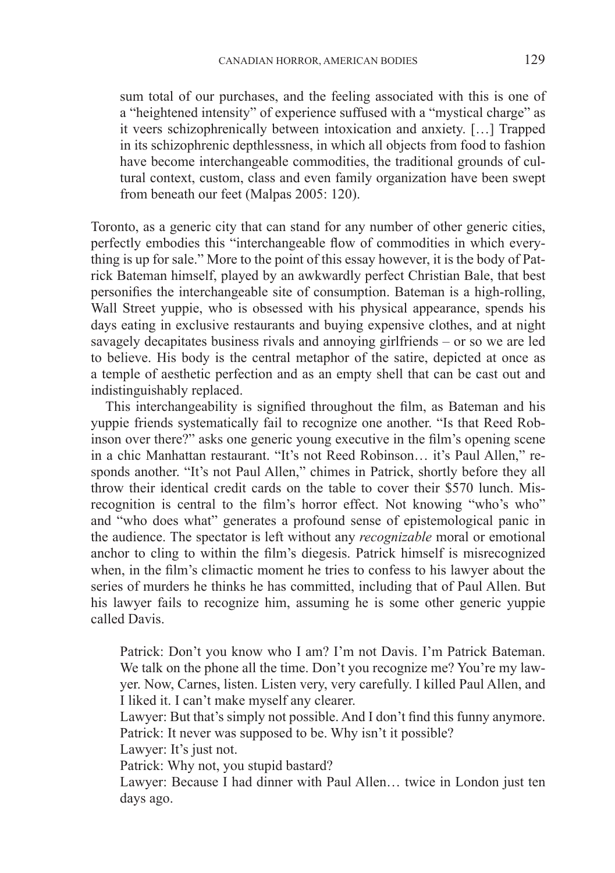sum total of our purchases, and the feeling associated with this is one of a "heightened intensity" of experience suffused with a "mystical charge" as it veers schizophrenically between intoxication and anxiety. […] Trapped in its schizophrenic depthlessness, in which all objects from food to fashion have become interchangeable commodities, the traditional grounds of cultural context, custom, class and even family organization have been swept from beneath our feet (Malpas 2005: 120).

Toronto, as a generic city that can stand for any number of other generic cities, perfectly embodies this "interchangeable flow of commodities in which everything is up for sale." More to the point of this essay however, it is the body of Patrick Bateman himself, played by an awkwardly perfect Christian Bale, that best personifies the interchangeable site of consumption. Bateman is a high-rolling, Wall Street yuppie, who is obsessed with his physical appearance, spends his days eating in exclusive restaurants and buying expensive clothes, and at night savagely decapitates business rivals and annoying girlfriends – or so we are led to believe. His body is the central metaphor of the satire, depicted at once as a temple of aesthetic perfection and as an empty shell that can be cast out and indistinguishably replaced.

This interchangeability is signified throughout the film, as Bateman and his yuppie friends systematically fail to recognize one another. "Is that Reed Robinson over there?" asks one generic young executive in the film's opening scene in a chic Manhattan restaurant. "It's not Reed Robinson… it's Paul Allen," responds another. "It's not Paul Allen," chimes in Patrick, shortly before they all throw their identical credit cards on the table to cover their \$570 lunch. Misrecognition is central to the film's horror effect. Not knowing "who's who" and "who does what" generates a profound sense of epistemological panic in the audience. The spectator is left without any *recognizable* moral or emotional anchor to cling to within the film's diegesis. Patrick himself is misrecognized when, in the film's climactic moment he tries to confess to his lawyer about the series of murders he thinks he has committed, including that of Paul Allen. But his lawyer fails to recognize him, assuming he is some other generic yuppie called Davis.

Patrick: Don't you know who I am? I'm not Davis. I'm Patrick Bateman. We talk on the phone all the time. Don't you recognize me? You're my lawyer. Now, Carnes, listen. Listen very, very carefully. I killed Paul Allen, and I liked it. I can't make myself any clearer.

Lawyer: But that's simply not possible. And I don't find this funny anymore. Patrick: It never was supposed to be. Why isn't it possible?

Lawyer: It's just not.

Patrick: Why not, you stupid bastard?

Lawyer: Because I had dinner with Paul Allen… twice in London just ten days ago.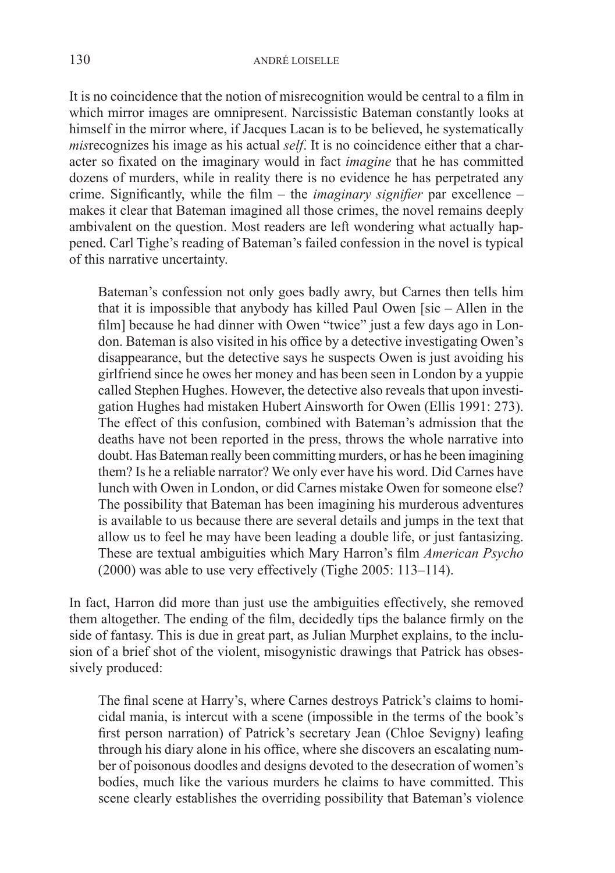It is no coincidence that the notion of misrecognition would be central to a film in which mirror images are omnipresent. Narcissistic Bateman constantly looks at himself in the mirror where, if Jacques Lacan is to be believed, he systematically *mis*recognizes his image as his actual *self*. It is no coincidence either that a character so fixated on the imaginary would in fact *imagine* that he has committed dozens of murders, while in reality there is no evidence he has perpetrated any crime. Significantly, while the film – the *imaginary signifier* par excellence – makes it clear that Bateman imagined all those crimes, the novel remains deeply ambivalent on the question. Most readers are left wondering what actually happened. Carl Tighe's reading of Bateman's failed confession in the novel is typical of this narrative uncertainty.

Bateman's confession not only goes badly awry, but Carnes then tells him that it is impossible that anybody has killed Paul Owen [sic – Allen in the film] because he had dinner with Owen "twice" just a few days ago in London. Bateman is also visited in his office by a detective investigating Owen's disappearance, but the detective says he suspects Owen is just avoiding his girlfriend since he owes her money and has been seen in London by a yuppie called Stephen Hughes. However, the detective also reveals that upon investigation Hughes had mistaken Hubert Ainsworth for Owen (Ellis 1991: 273). The effect of this confusion, combined with Bateman's admission that the deaths have not been reported in the press, throws the whole narrative into doubt. Has Bateman really been committing murders, or has he been imagining them? Is he a reliable narrator? We only ever have his word. Did Carnes have lunch with Owen in London, or did Carnes mistake Owen for someone else? The possibility that Bateman has been imagining his murderous adventures is available to us because there are several details and jumps in the text that allow us to feel he may have been leading a double life, or just fantasizing. These are textual ambiguities which Mary Harron's film *American Psycho*  (2000) was able to use very effectively (Tighe 2005: 113–114).

In fact, Harron did more than just use the ambiguities effectively, she removed them altogether. The ending of the film, decidedly tips the balance firmly on the side of fantasy. This is due in great part, as Julian Murphet explains, to the inclusion of a brief shot of the violent, misogynistic drawings that Patrick has obsessively produced:

The final scene at Harry's, where Carnes destroys Patrick's claims to homicidal mania, is intercut with a scene (impossible in the terms of the book's first person narration) of Patrick's secretary Jean (Chloe Sevigny) leafing through his diary alone in his office, where she discovers an escalating number of poisonous doodles and designs devoted to the desecration of women's bodies, much like the various murders he claims to have committed. This scene clearly establishes the overriding possibility that Bateman's violence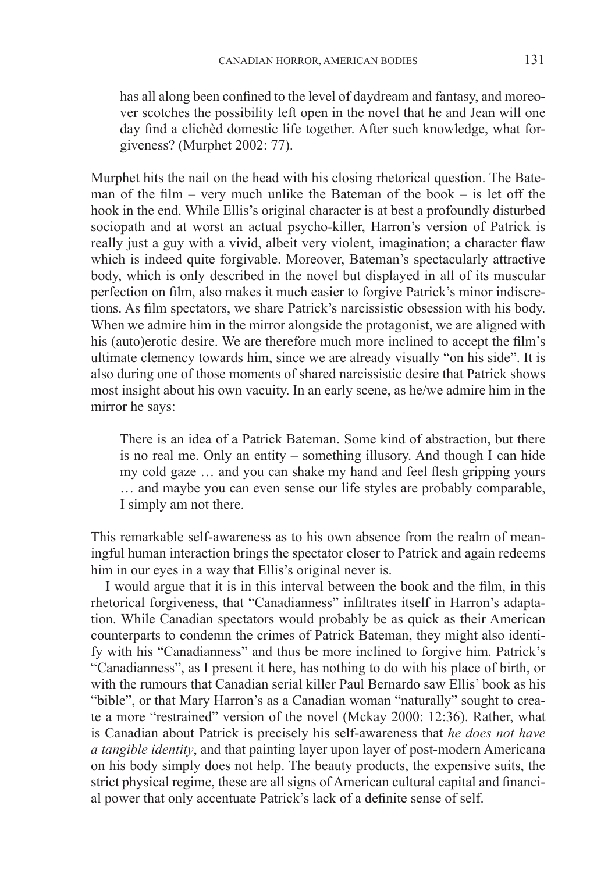has all along been confined to the level of daydream and fantasy, and moreover scotches the possibility left open in the novel that he and Jean will one day find a clichèd domestic life together. After such knowledge, what forgiveness? (Murphet 2002: 77).

Murphet hits the nail on the head with his closing rhetorical question. The Bateman of the film – very much unlike the Bateman of the book – is let off the hook in the end. While Ellis's original character is at best a profoundly disturbed sociopath and at worst an actual psycho-killer, Harron's version of Patrick is really just a guy with a vivid, albeit very violent, imagination; a character flaw which is indeed quite forgivable. Moreover, Bateman's spectacularly attractive body, which is only described in the novel but displayed in all of its muscular perfection on film, also makes it much easier to forgive Patrick's minor indiscretions. As film spectators, we share Patrick's narcissistic obsession with his body. When we admire him in the mirror alongside the protagonist, we are aligned with his (auto)erotic desire. We are therefore much more inclined to accept the film's ultimate clemency towards him, since we are already visually "on his side". It is also during one of those moments of shared narcissistic desire that Patrick shows most insight about his own vacuity. In an early scene, as he/we admire him in the mirror he says:

There is an idea of a Patrick Bateman. Some kind of abstraction, but there is no real me. Only an entity – something illusory. And though I can hide my cold gaze … and you can shake my hand and feel flesh gripping yours … and maybe you can even sense our life styles are probably comparable, I simply am not there.

This remarkable self-awareness as to his own absence from the realm of meaningful human interaction brings the spectator closer to Patrick and again redeems him in our eyes in a way that Ellis's original never is.

I would argue that it is in this interval between the book and the film, in this rhetorical forgiveness, that "Canadianness" infiltrates itself in Harron's adaptation. While Canadian spectators would probably be as quick as their American counterparts to condemn the crimes of Patrick Bateman, they might also identify with his "Canadianness" and thus be more inclined to forgive him. Patrick's "Canadianness", as I present it here, has nothing to do with his place of birth, or with the rumours that Canadian serial killer Paul Bernardo saw Ellis' book as his "bible", or that Mary Harron's as a Canadian woman "naturally" sought to create a more "restrained" version of the novel (Mckay 2000: 12:36). Rather, what is Canadian about Patrick is precisely his self-awareness that *he does not have a tangible identity*, and that painting layer upon layer of post-modern Americana on his body simply does not help. The beauty products, the expensive suits, the strict physical regime, these are all signs of American cultural capital and financial power that only accentuate Patrick's lack of a definite sense of self.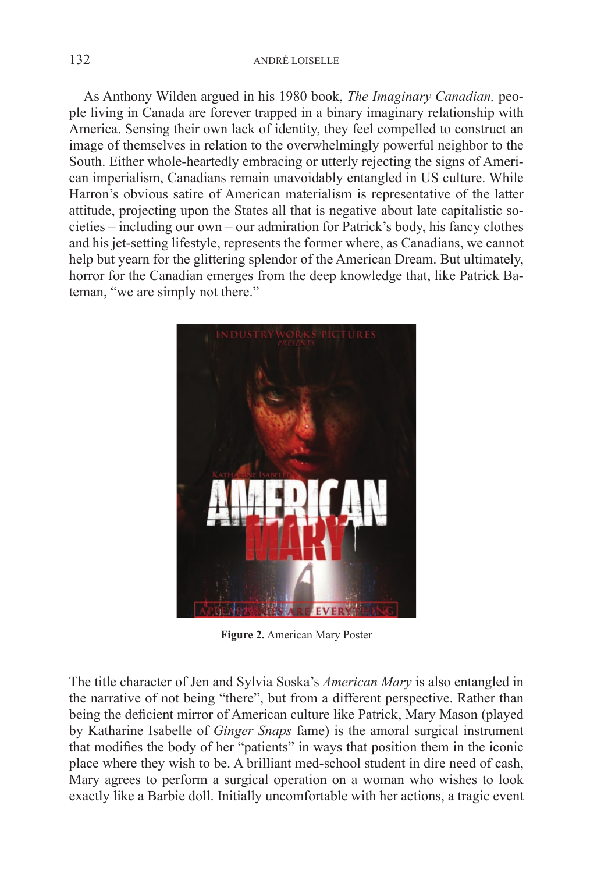As Anthony Wilden argued in his 1980 book, *The Imaginary Canadian,* people living in Canada are forever trapped in a binary imaginary relationship with America. Sensing their own lack of identity, they feel compelled to construct an image of themselves in relation to the overwhelmingly powerful neighbor to the South. Either whole-heartedly embracing or utterly rejecting the signs of American imperialism, Canadians remain unavoidably entangled in US culture. While Harron's obvious satire of American materialism is representative of the latter attitude, projecting upon the States all that is negative about late capitalistic societies – including our own – our admiration for Patrick's body, his fancy clothes and his jet-setting lifestyle, represents the former where, as Canadians, we cannot help but yearn for the glittering splendor of the American Dream. But ultimately, horror for the Canadian emerges from the deep knowledge that, like Patrick Bateman, "we are simply not there."



**Figure 2.** American Mary Poster

The title character of Jen and Sylvia Soska's *American Mary* is also entangled in the narrative of not being "there", but from a different perspective. Rather than being the deficient mirror of American culture like Patrick, Mary Mason (played by Katharine Isabelle of *Ginger Snaps* fame) is the amoral surgical instrument that modifies the body of her "patients" in ways that position them in the iconic place where they wish to be. A brilliant med-school student in dire need of cash, Mary agrees to perform a surgical operation on a woman who wishes to look exactly like a Barbie doll. Initially uncomfortable with her actions, a tragic event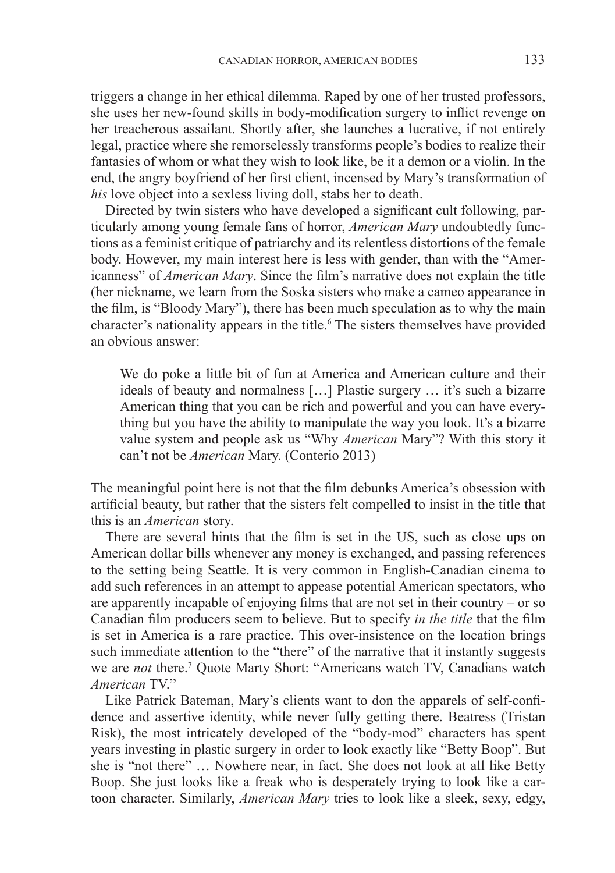triggers a change in her ethical dilemma. Raped by one of her trusted professors, she uses her new-found skills in body-modification surgery to inflict revenge on her treacherous assailant. Shortly after, she launches a lucrative, if not entirely legal, practice where she remorselessly transforms people's bodies to realize their fantasies of whom or what they wish to look like, be it a demon or a violin. In the end, the angry boyfriend of her first client, incensed by Mary's transformation of *his* love object into a sexless living doll, stabs her to death.

Directed by twin sisters who have developed a significant cult following, particularly among young female fans of horror, *American Mary* undoubtedly functions as a feminist critique of patriarchy and its relentless distortions of the female body. However, my main interest here is less with gender, than with the "Americanness" of *American Mary*. Since the film's narrative does not explain the title (her nickname, we learn from the Soska sisters who make a cameo appearance in the film, is "Bloody Mary"), there has been much speculation as to why the main character's nationality appears in the title.<sup>6</sup> The sisters themselves have provided an obvious answer:

We do poke a little bit of fun at America and American culture and their ideals of beauty and normalness […] Plastic surgery … it's such a bizarre American thing that you can be rich and powerful and you can have everything but you have the ability to manipulate the way you look. It's a bizarre value system and people ask us "Why *American* Mary"? With this story it can't not be *American* Mary. (Conterio 2013)

The meaningful point here is not that the film debunks America's obsession with artificial beauty, but rather that the sisters felt compelled to insist in the title that this is an *American* story.

There are several hints that the film is set in the US, such as close ups on American dollar bills whenever any money is exchanged, and passing references to the setting being Seattle. It is very common in English-Canadian cinema to add such references in an attempt to appease potential American spectators, who are apparently incapable of enjoying films that are not set in their country – or so Canadian film producers seem to believe. But to specify *in the title* that the film is set in America is a rare practice. This over-insistence on the location brings such immediate attention to the "there" of the narrative that it instantly suggests we are *not* there.<sup>7</sup> Quote Marty Short: "Americans watch TV, Canadians watch *American* TV"

Like Patrick Bateman, Mary's clients want to don the apparels of self-confidence and assertive identity, while never fully getting there. Beatress (Tristan Risk), the most intricately developed of the "body-mod" characters has spent years investing in plastic surgery in order to look exactly like "Betty Boop". But she is "not there" … Nowhere near, in fact. She does not look at all like Betty Boop. She just looks like a freak who is desperately trying to look like a cartoon character. Similarly, *American Mary* tries to look like a sleek, sexy, edgy,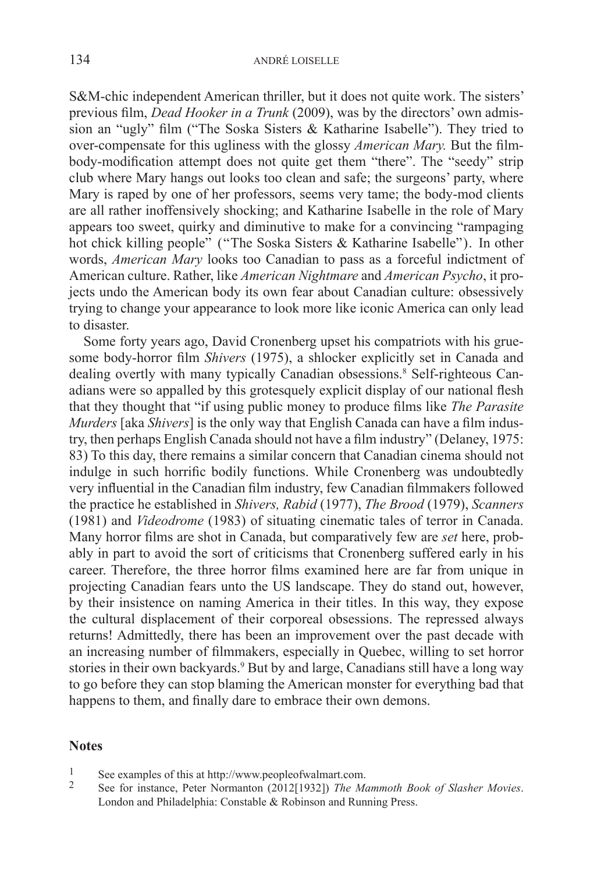S&M-chic independent American thriller, but it does not quite work. The sisters' previous film, *Dead Hooker in a Trunk* (2009), was by the directors' own admission an "ugly" film ("The Soska Sisters & Katharine Isabelle"). They tried to over-compensate for this ugliness with the glossy *American Mary.* But the filmbody-modification attempt does not quite get them "there". The "seedy" strip club where Mary hangs out looks too clean and safe; the surgeons' party, where Mary is raped by one of her professors, seems very tame; the body-mod clients are all rather inoffensively shocking; and Katharine Isabelle in the role of Mary appears too sweet, quirky and diminutive to make for a convincing "rampaging hot chick killing people" ("The Soska Sisters & Katharine Isabelle"). In other words, *American Mary* looks too Canadian to pass as a forceful indictment of American culture. Rather, like *American Nightmare* and *American Psycho*, it projects undo the American body its own fear about Canadian culture: obsessively trying to change your appearance to look more like iconic America can only lead to disaster.

Some forty years ago, David Cronenberg upset his compatriots with his gruesome body-horror film *Shivers* (1975), a shlocker explicitly set in Canada and dealing overtly with many typically Canadian obsessions.<sup>8</sup> Self-righteous Canadians were so appalled by this grotesquely explicit display of our national flesh that they thought that "if using public money to produce films like *The Parasite Murders* [aka *Shivers*] is the only way that English Canada can have a film industry, then perhaps English Canada should not have a film industry" (Delaney, 1975: 83) To this day, there remains a similar concern that Canadian cinema should not indulge in such horrific bodily functions. While Cronenberg was undoubtedly very influential in the Canadian film industry, few Canadian filmmakers followed the practice he established in *Shivers, Rabid* (1977), *The Brood* (1979), *Scanners*  (1981) and *Videodrome* (1983) of situating cinematic tales of terror in Canada. Many horror films are shot in Canada, but comparatively few are *set* here, probably in part to avoid the sort of criticisms that Cronenberg suffered early in his career. Therefore, the three horror films examined here are far from unique in projecting Canadian fears unto the US landscape. They do stand out, however, by their insistence on naming America in their titles. In this way, they expose the cultural displacement of their corporeal obsessions. The repressed always returns! Admittedly, there has been an improvement over the past decade with an increasing number of filmmakers, especially in Quebec, willing to set horror stories in their own backyards.<sup>9</sup> But by and large, Canadians still have a long way to go before they can stop blaming the American monster for everything bad that happens to them, and finally dare to embrace their own demons.

### **Notes**

- <sup>1</sup> See examples of this at http://www.peopleofwalmart.com.<br><sup>2</sup> See for instance. Beter Nermanton (2012/1022), *The M*
- 2 See for instance, Peter Normanton (2012[1932]) *The Mammoth Book of Slasher Movies*. London and Philadelphia: Constable & Robinson and Running Press.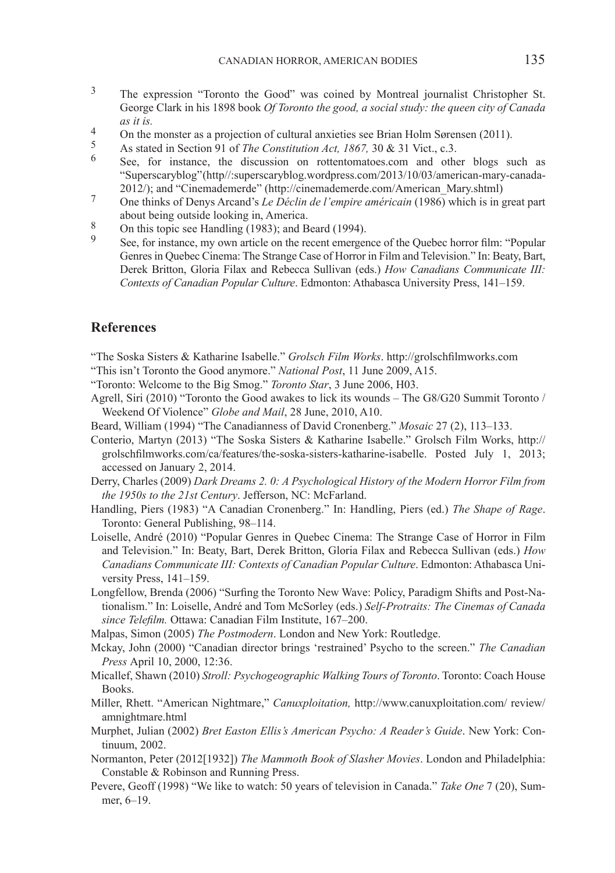- 3 The expression "Toronto the Good" was coined by Montreal journalist Christopher St. George Clark in his 1898 book *Of Toronto the good, a social study: the queen city of Canada as it is.*
- 4 On the monster as a projection of cultural anxieties see Brian Holm Sørensen (2011).<br>5 As stated in Section 91 of The Constitution Act, 1867, 30, 8: 31 Vict. c. 3.
- 5 As stated in Section 91 of *The Constitution Act, 1867,* 30 & 31 Vict., c.3.
- 6 See, for instance, the discussion on rottentomatoes.com and other blogs such as "Superscaryblog" (http//:superscaryblog.wordpress.com/2013/10/03/american-mary-canada-2012/); and "Cinemademerde" (http://cinemademerde.com/American\_Mary.shtml)
- 7 One thinks of Denys Arcand's *Le Déclin de l'empire américain* (1986) which is in great part about being outside looking in, America.
- 8 On this topic see Handling (1983); and Beard (1994).
- 9 See, for instance, my own article on the recent emergence of the Quebec horror film: "Popular Genres in Quebec Cinema: The Strange Case of Horror in Film and Television." In: Beaty, Bart, Derek Britton, Gloria Filax and Rebecca Sullivan (eds.) *How Canadians Communicate III: Contexts of Canadian Popular Culture*. Edmonton: Athabasca University Press, 141–159.

## **References**

"The Soska Sisters & Katharine Isabelle." *Grolsch Film Works*. http://grolschfilmworks.com

"This isn't Toronto the Good anymore." *National Post*, 11 June 2009, A15.

"Toronto: Welcome to the Big Smog." *Toronto Star*, 3 June 2006, H03.

- Agrell, Siri (2010) "Toronto the Good awakes to lick its wounds The G8/G20 Summit Toronto / Weekend Of Violence" *Globe and Mail*, 28 June, 2010, A10.
- Beard, William (1994) "The Canadianness of David Cronenberg." *Mosaic* 27 (2), 113–133.

Conterio, Martyn (2013) "The Soska Sisters & Katharine Isabelle." Grolsch Film Works, http:// grolschfilmworks.com/ca/features/the-soska-sisters-katharine-isabelle. Posted July 1, 2013; accessed on January 2, 2014.

- Derry, Charles (2009) *Dark Dreams 2. 0: A Psychological History of the Modern Horror Film from the 1950s to the 21st Century*. Jefferson, NC: McFarland.
- Handling, Piers (1983) "A Canadian Cronenberg." In: Handling, Piers (ed.) *The Shape of Rage*. Toronto: General Publishing, 98–114.
- Loiselle, André (2010) "Popular Genres in Quebec Cinema: The Strange Case of Horror in Film and Television." In: Beaty, Bart, Derek Britton, Gloria Filax and Rebecca Sullivan (eds.) *How Canadians Communicate III: Contexts of Canadian Popular Culture*. Edmonton: Athabasca University Press, 141–159.
- Longfellow, Brenda (2006) "Surfing the Toronto New Wave: Policy, Paradigm Shifts and Post-Nationalism." In: Loiselle, André and Tom McSorley (eds.) *Self-Protraits: The Cinemas of Canada since Telefilm.* Ottawa: Canadian Film Institute, 167–200.
- Malpas, Simon (2005) *The Postmodern*. London and New York: Routledge.
- Mckay, John (2000) "Canadian director brings 'restrained' Psycho to the screen." *The Canadian Press* April 10, 2000, 12:36.
- Micallef, Shawn (2010) *Stroll: Psychogeographic Walking Tours of Toronto*. Toronto: Coach House Books.
- Miller, Rhett. "American Nightmare," *Canuxploitation,* http://www.canuxploitation.com/ review/ amnightmare.html
- Murphet, Julian (2002) *Bret Easton Ellis's American Psycho: A Reader's Guide*. New York: Continuum, 2002.
- Normanton, Peter (2012[1932]) *The Mammoth Book of Slasher Movies*. London and Philadelphia: Constable & Robinson and Running Press.
- Pevere, Geoff (1998) "We like to watch: 50 years of television in Canada." *Take One* 7 (20), Summer, 6–19.